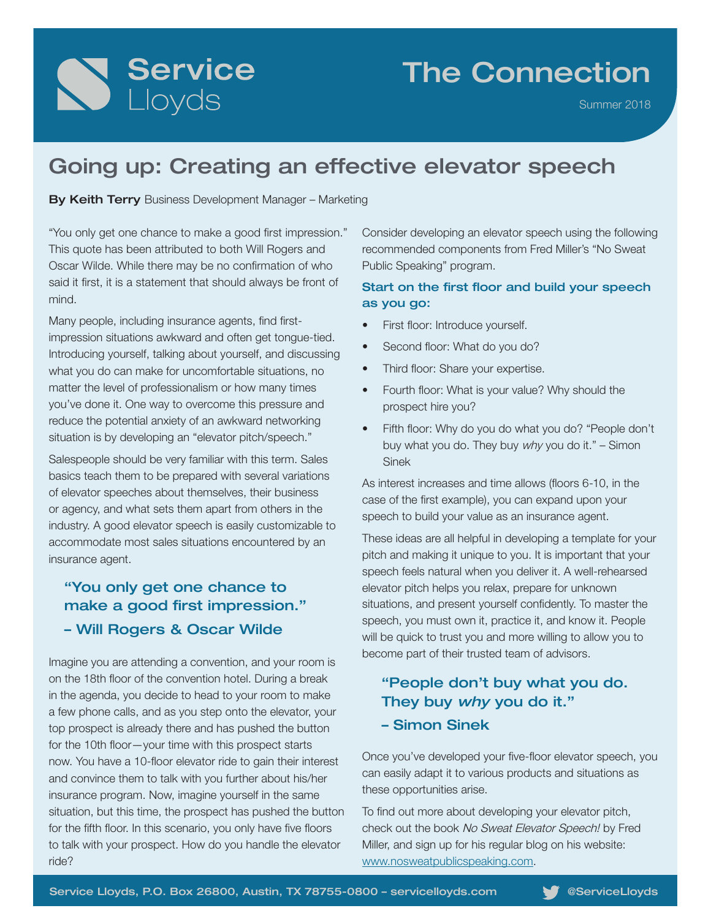# Service

## The Connection

Summer 2018

## Going up: Creating an effective elevator speech

By Keith Terry Business Development Manager – Marketing

"You only get one chance to make a good first impression." This quote has been attributed to both Will Rogers and Oscar Wilde. While there may be no confirmation of who said it first, it is a statement that should always be front of mind.

Many people, including insurance agents, find firstimpression situations awkward and often get tongue-tied. Introducing yourself, talking about yourself, and discussing what you do can make for uncomfortable situations, no matter the level of professionalism or how many times you've done it. One way to overcome this pressure and reduce the potential anxiety of an awkward networking situation is by developing an "elevator pitch/speech."

Salespeople should be very familiar with this term. Sales basics teach them to be prepared with several variations of elevator speeches about themselves, their business or agency, and what sets them apart from others in the industry. A good elevator speech is easily customizable to accommodate most sales situations encountered by an insurance agent.

#### "You only get one chance to make a good first impression." – Will Rogers & Oscar Wilde

Imagine you are attending a convention, and your room is on the 18th floor of the convention hotel. During a break in the agenda, you decide to head to your room to make a few phone calls, and as you step onto the elevator, your top prospect is already there and has pushed the button for the 10th floor—your time with this prospect starts now. You have a 10-floor elevator ride to gain their interest and convince them to talk with you further about his/her insurance program. Now, imagine yourself in the same situation, but this time, the prospect has pushed the button for the fifth floor. In this scenario, you only have five floors to talk with your prospect. How do you handle the elevator ride?

Consider developing an elevator speech using the following recommended components from Fred Miller's "No Sweat Public Speaking" program.

#### Start on the first floor and build your speech as you go:

- First floor: Introduce yourself.
- Second floor: What do you do?
- Third floor: Share your expertise.
- Fourth floor: What is your value? Why should the prospect hire you?
- Fifth floor: Why do you do what you do? "People don't buy what you do. They buy why you do it." - Simon Sinek

As interest increases and time allows (floors 6-10, in the case of the first example), you can expand upon your speech to build your value as an insurance agent.

These ideas are all helpful in developing a template for your pitch and making it unique to you. It is important that your speech feels natural when you deliver it. A well-rehearsed elevator pitch helps you relax, prepare for unknown situations, and present yourself confidently. To master the speech, you must own it, practice it, and know it. People will be quick to trust you and more willing to allow you to become part of their trusted team of advisors.

### "People don't buy what you do. They buy why you do it."

– Simon Sinek

Once you've developed your five-floor elevator speech, you can easily adapt it to various products and situations as these opportunities arise.

To find out more about developing your elevator pitch, check out the book No Sweat Elevator Speech! by Fred Miller, and sign up for his regular blog on his website: www.nosweatpublicspeaking.com.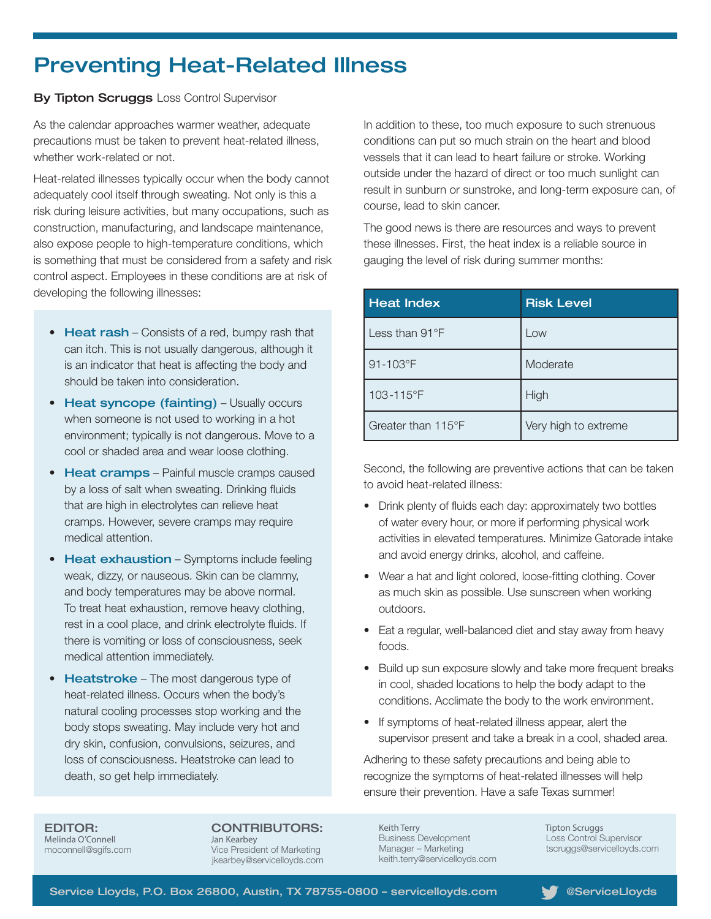## Preventing Heat-Related Illness

**By Tipton Scruggs Loss Control Supervisor** 

As the calendar approaches warmer weather, adequate precautions must be taken to prevent heat-related illness, whether work-related or not.

Heat-related illnesses typically occur when the body cannot adequately cool itself through sweating. Not only is this a risk during leisure activities, but many occupations, such as construction, manufacturing, and landscape maintenance, also expose people to high-temperature conditions, which is something that must be considered from a safety and risk control aspect. Employees in these conditions are at risk of developing the following illnesses:

- Heat rash Consists of a red, bumpy rash that can itch. This is not usually dangerous, although it is an indicator that heat is affecting the body and should be taken into consideration.
- Heat syncope (fainting) Usually occurs when someone is not used to working in a hot environment; typically is not dangerous. Move to a cool or shaded area and wear loose clothing.
- Heat cramps Painful muscle cramps caused by a loss of salt when sweating. Drinking fluids that are high in electrolytes can relieve heat cramps. However, severe cramps may require medical attention.
- Heat exhaustion Symptoms include feeling weak, dizzy, or nauseous. Skin can be clammy, and body temperatures may be above normal. To treat heat exhaustion, remove heavy clothing, rest in a cool place, and drink electrolyte fluids. If there is vomiting or loss of consciousness, seek medical attention immediately.
- Heatstroke The most dangerous type of heat-related illness. Occurs when the body's natural cooling processes stop working and the body stops sweating. May include very hot and dry skin, confusion, convulsions, seizures, and loss of consciousness. Heatstroke can lead to death, so get help immediately.

In addition to these, too much exposure to such strenuous conditions can put so much strain on the heart and blood vessels that it can lead to heart failure or stroke. Working outside under the hazard of direct or too much sunlight can result in sunburn or sunstroke, and long-term exposure can, of course, lead to skin cancer.

The good news is there are resources and ways to prevent these illnesses. First, the heat index is a reliable source in gauging the level of risk during summer months:

| <b>Heat Index</b>       | <b>Risk Level</b>    |
|-------------------------|----------------------|
| Less than $91^{\circ}F$ | Low                  |
| 91-103°F                | Moderate             |
| 103-115°F               | High                 |
| Greater than 115°F      | Very high to extreme |

Second, the following are preventive actions that can be taken to avoid heat-related illness:

- Drink plenty of fluids each day: approximately two bottles of water every hour, or more if performing physical work activities in elevated temperatures. Minimize Gatorade intake and avoid energy drinks, alcohol, and caffeine.
- Wear a hat and light colored, loose-fitting clothing. Cover as much skin as possible. Use sunscreen when working outdoors.
- Eat a regular, well-balanced diet and stay away from heavy foods.
- Build up sun exposure slowly and take more frequent breaks in cool, shaded locations to help the body adapt to the conditions. Acclimate the body to the work environment.
- If symptoms of heat-related illness appear, alert the supervisor present and take a break in a cool, shaded area.

Adhering to these safety precautions and being able to recognize the symptoms of heat-related illnesses will help ensure their prevention. Have a safe Texas summer!

EDITOR: Melinda O'Connell moconnell@sgifs.com CONTRIBUTORS: Jan Kearbey

Vice President of Marketing jkearbey@servicelloyds.com

Keith Terry Business Development Manager – Marketing keith.terry@servicelloyds.com Tipton Scruggs Loss Control Supervisor tscruggs@servicelloyds.com

Service Lloyds, P.O. Box 26800, Austin, TX 78755-0800 - servicelloyds.com **We**ServiceLloyds